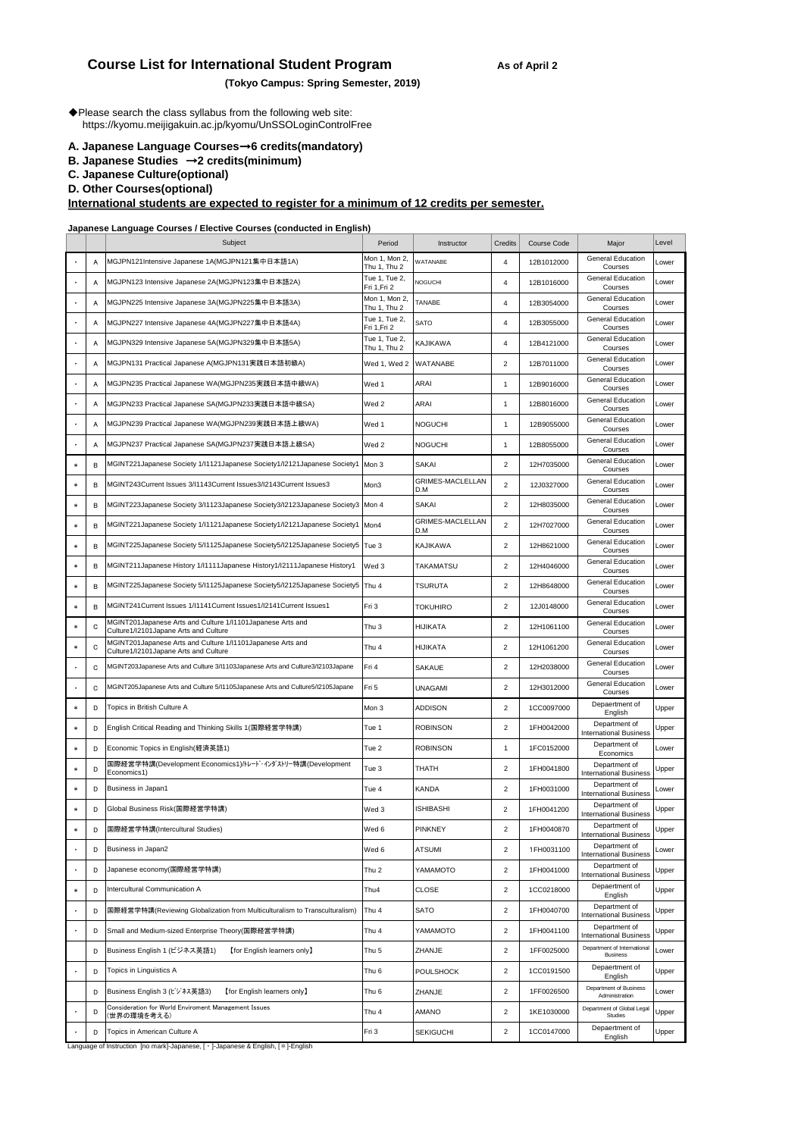## **Course List for International Student Program** As of April 2

**(Tokyo Campus: Spring Semester, 2019)**

◆Please search the class syllabus from the following web site: https://kyomu.meijigakuin.ac.jp/kyomu/UnSSOLoginControlFree

**A. Japanese Language Courses**→**6 credits(mandatory)**

## **B. Japanese Studies** →**2 credits(minimum)**

**C. Japanese Culture(optional)**

**D. Other Courses(optional)**

## **International students are expected to register for a minimum of 12 credits per semester.**

**Japanese Language Courses / Elective Courses (conducted in English)**

|         |   | Subject                                                                                             | Period                        | Instructor                     | Credits                 | <b>Course Code</b> | Major                                          | Level |
|---------|---|-----------------------------------------------------------------------------------------------------|-------------------------------|--------------------------------|-------------------------|--------------------|------------------------------------------------|-------|
|         | Α | MGJPN121Intensive Japanese 1A(MGJPN121集中日本語1A)                                                      | Mon 1, Mon 2,<br>Thu 1, Thu 2 | WATANABE                       | 4                       | 12B1012000         | <b>General Education</b><br>Courses            | Lower |
| $\cdot$ | Α | MGJPN123 Intensive Japanese 2A(MGJPN123集中日本語2A)                                                     | Tue 1, Tue 2,<br>Fri 1, Fri 2 | <b>VOGUCHI</b>                 | $\overline{4}$          | 12B1016000         | General Education<br>Courses                   | Lower |
|         | Α | MGJPN225 Intensive Japanese 3A(MGJPN225集中日本語3A)                                                     | Mon 1, Mon 2,<br>Thu 1, Thu 2 | TANABE                         | 4                       | 12B3054000         | General Education<br>Courses                   | Lower |
| ÷,      | Α | MGJPN227 Intensive Japanese 4A(MGJPN227集中日本語4A)                                                     | Tue 1, Tue 2,<br>Fri 1,Fri 2  | SATO                           | $\overline{4}$          | 12B3055000         | <b>General Education</b><br>Courses            | Lower |
| $\cdot$ | Α | MGJPN329 Intensive Japanese 5A(MGJPN329集中日本語5A)                                                     | Tue 1, Tue 2,<br>Thu 1, Thu 2 | KAJIKAWA                       | 4                       | 12B4121000         | <b>General Education</b><br>Courses            | Lower |
| ÷,      | Α | MGJPN131 Practical Japanese A(MGJPN131実践日本語初級A)                                                     | Wed 1, Wed 2                  | WATANABE                       | $\overline{c}$          | 12B7011000         | General Education<br>Courses                   | Lower |
|         | А | MGJPN235 Practical Japanese WA(MGJPN235実践日本語中級WA)                                                   | Wed 1                         | ARAI                           | $\mathbf{1}$            | 12B9016000         | <b>General Education</b><br>Courses            | Lower |
| ÷,      | Α | MGJPN233 Practical Japanese SA(MGJPN233実践日本語中級SA)                                                   | Wed 2                         | ARAI                           | $\mathbf{1}$            | 12B8016000         | <b>General Education</b><br>Courses            | Lower |
| $\cdot$ | А | MGJPN239 Practical Japanese WA(MGJPN239実践日本語上級WA)                                                   | Wed 1                         | <b>NOGUCHI</b>                 | $\mathbf{1}$            | 12B9055000         | General Education<br>Courses                   | Lower |
| ÷,      | Α | MGJPN237 Practical Japanese SA(MGJPN237実践日本語上級SA)                                                   | Wed 2                         | <b>NOGUCHI</b>                 | $\mathbf{1}$            | 12B8055000         | General Education<br>Courses                   | Lower |
| $\ast$  | B | MGINT221Japanese Society 1/I1121Japanese Society1/I2121Japanese Society1                            | Mon 3                         | <b>SAKAI</b>                   | $\overline{2}$          | 12H7035000         | General Education<br>Courses                   | Lower |
| $\ast$  | B | MGINT243Current Issues 3/I1143Current Issues3/I2143Current Issues3                                  | Mon3                          | <b>GRIMES-MACLELLAN</b><br>D.M | $\overline{2}$          | 12J0327000         | <b>General Education</b><br>Courses            | Lower |
| $\ast$  | B | MGINT223Japanese Society 3/11123Japanese Society3/l2123Japanese Society3 Mon 4                      |                               | <b>SAKAI</b>                   | $\overline{2}$          | 12H8035000         | General Education<br>Courses                   | Lower |
| $\ast$  | B | MGINT221Japanese Society 1/I1121Japanese Society1/I2121Japanese Society1                            | Mon4                          | <b>GRIMES-MACLELLAN</b><br>D.M | $\overline{2}$          | 12H7027000         | General Education<br>Courses                   | Lower |
| $\ast$  | B | MGINT225Japanese Society 5/I1125Japanese Society5/I2125Japanese Society5                            | Tue 3                         | <b>KAJIKAWA</b>                | $\overline{2}$          | 12H8621000         | General Education<br>Courses                   | Lower |
| $\ast$  | B | MGINT211Japanese History 1/I1111Japanese History1/I2111Japanese History1                            | Wed 3                         | <b>TAKAMATSU</b>               | $\overline{c}$          | 12H4046000         | General Education<br>Courses                   | Lower |
| $\ast$  | B | MGINT225Japanese Society 5/I1125Japanese Society5/I2125Japanese Society5                            | Thu 4                         | <b>TSURUTA</b>                 | $\overline{2}$          | 12H8648000         | General Education<br>Courses                   | Lower |
| $\ast$  | B | MGINT241Current Issues 1/I1141Current Issues1/I2141Current Issues1                                  | Fri 3                         | <b>TOKUHIRO</b>                | $\overline{2}$          | 12J0148000         | <b>General Education</b><br>Courses            | Lower |
|         | C | MGINT201Japanese Arts and Culture 1/I1101Japanese Arts and<br>Culture1/I2101Japane Arts and Culture | Thu 3                         | <b>HIJIKATA</b>                | $\overline{2}$          | 12H1061100         | General Education<br>Courses                   | Lower |
|         | C | MGINT201Japanese Arts and Culture 1/I1101Japanese Arts and<br>Culture1/I2101Japane Arts and Culture | Thu 4                         | <b>HIJIKATA</b>                | $\overline{2}$          | 12H1061200         | General Education<br>Courses                   | Lower |
|         | C | MGINT203Japanese Arts and Culture 3/I1103Japanese Arts and Culture3/I2103Japane                     | Fri 4                         | SAKAUE                         | $\overline{2}$          | 12H2038000         | General Education<br>Courses                   | Lower |
|         | C | MGINT205Japanese Arts and Culture 5/I1105Japanese Arts and Culture5/I2105Japane                     | Fri 5                         | <b>UNAGAMI</b>                 | $\overline{2}$          | 12H3012000         | General Education<br>Courses                   | Lower |
|         | D | Topics in British Culture A                                                                         | Mon 3                         | <b>ADDISON</b>                 | $\overline{2}$          | 1CC0097000         | Depaertment of<br>English                      | Upper |
| *       | D | English Critical Reading and Thinking Skills 1(国際経営学特講)                                             | Tue 1                         | <b>ROBINSON</b>                | $\overline{\mathbf{c}}$ | 1FH0042000         | Department of<br><b>International Business</b> | Upper |
|         | D | Economic Topics in English(経済英語1)                                                                   | Tue 2                         | <b>ROBINSON</b>                | $\mathbf{1}$            | 1FC0152000         | Department of<br>Economics                     | Lower |
| *       | D | 国際経営学特講(Development Economics1)/トレード・インダストリー特講(Development<br>Economics1)                           | Tue 3                         | THATH                          | $\overline{2}$          | 1FH0041800         | Department of<br><b>International Business</b> | Upper |
|         | D | Business in Japan1                                                                                  | Tue 4                         | <b>KANDA</b>                   | $\overline{2}$          | 1FH0031000         | Department of<br><b>International Business</b> | _ower |
| $\star$ | D | Global Business Risk(国際経営学特講)                                                                       | Wed 3                         | <b>ISHIBASHI</b>               | $\overline{\mathbf{c}}$ | 1FH0041200         | Department of<br><b>International Business</b> | Upper |
|         | D | 国際経営学特講(Intercultural Studies)                                                                      | Wed 6                         | PINKNEY                        | $\overline{2}$          | 1FH0040870         | Department of<br><b>International Business</b> | Upper |
|         | D | Business in Japan2                                                                                  | Wed 6                         | <b>ATSUMI</b>                  | 2                       | 1FH0031100         | Department of<br><b>International Business</b> | Lower |
|         | D | Japanese economy(国際経営学特講)                                                                           | Thu 2                         | YAMAMOTO                       | $\overline{2}$          | 1FH0041000         | Department of<br><b>International Business</b> | Upper |
| $\ast$  | D | Intercultural Communication A                                                                       | Thu4                          | CLOSE                          | $\overline{c}$          | 1CC0218000         | Depaertment of<br>English                      | Upper |
|         | D | 国際経営学特講(Reviewing Globalization from Multiculturalism to Transculturalism)                          | Thu 4                         | <b>SATO</b>                    | $\overline{c}$          | 1FH0040700         | Department of<br><b>International Business</b> | Upper |
|         | D | Small and Medium-sized Enterprise Theory(国際経営学特講)                                                   | Thu 4                         | YAMAMOTO                       | $\overline{c}$          | 1FH0041100         | Department of<br><b>International Business</b> | Upper |
|         | D | Business English 1 (ビジネス英語1)<br>[for English learners only]                                         | Thu 5                         | ZHANJE                         | $\overline{c}$          | 1FF0025000         | Department of International<br><b>Business</b> | Lower |
|         | D | Topics in Linguistics A                                                                             | Thu <sub>6</sub>              | <b>POULSHOCK</b>               | $\overline{c}$          | 1CC0191500         | Depaertment of<br>English                      | Upper |
|         | D | Business English 3 (ビジネス英語3)<br>[for English learners only]                                         | Thu 6                         | ZHANJE                         | $\overline{2}$          | 1FF0026500         | Department of Business<br>Administration       | Lower |
|         | D | Consideration for World Enviroment Management Issues<br>(世界の環境を考える)                                 | Thu 4                         | AMANO                          | $\overline{c}$          | 1KE1030000         | Department of Global Legal<br>Studies          | Upper |
|         | D | Topics in American Culture A                                                                        | Fri 3                         | <b>SEKIGUCHI</b>               | $\overline{c}$          | 1CC0147000         | Depaertment of<br>English                      | Upper |

Language of Instruction [no mark]-Japanese, [・]-Japanese & English, [\*]-English